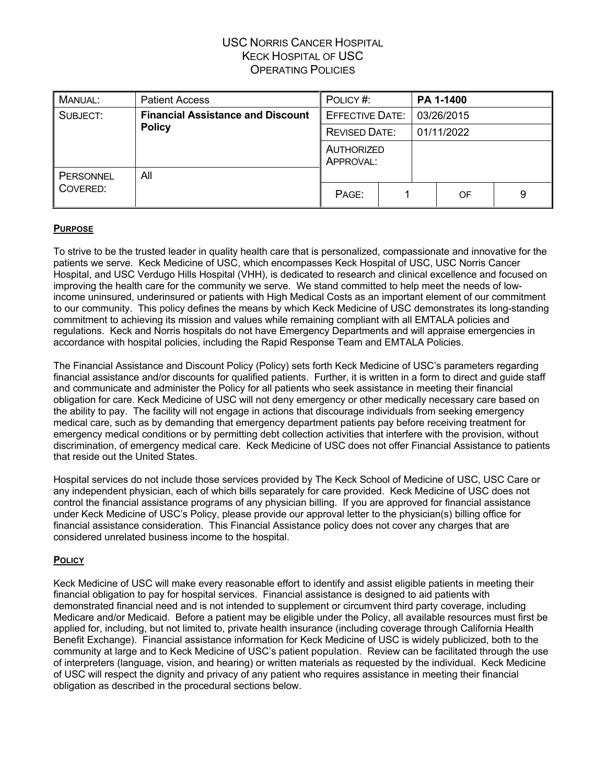| <b>MANUAL:</b> | <b>Patient Access</b>                                     | POLICY#:                |  |            | PA 1-1400 |   |
|----------------|-----------------------------------------------------------|-------------------------|--|------------|-----------|---|
| SUBJECT:       | <b>Financial Assistance and Discount</b><br><b>Policy</b> | <b>EFFECTIVE DATE:</b>  |  | 03/26/2015 |           |   |
|                |                                                           | <b>REVISED DATE:</b>    |  | 01/11/2022 |           |   |
|                |                                                           | AUTHORIZED<br>APPROVAL: |  |            |           |   |
| PERSONNEL      | All                                                       |                         |  |            |           |   |
| COVERED:       |                                                           | PAGE:                   |  |            | OF        | 9 |

#### **PURPOSE**

To strive to be the trusted leader in quality health care that is personalized, compassionate and innovative for the patients we serve. Keck Medicine of USC, which encompasses Keck Hospital of USC, USC Norris Cancer Hospital, and USC Verdugo Hills Hospital (VHH), is dedicated to research and clinical excellence and focused on improving the health care for the community we serve. We stand committed to help meet the needs of lowincome uninsured, underinsured or patients with High Medical Costs as an important element of our commitment to our community. This policy defines the means by which Keck Medicine of USC demonstrates its long-standing commitment to achieving its mission and values while remaining compliant with all EMTALA policies and regulations. Keck and Norris hospitals do not have Emergency Departments and will appraise emergencies in accordance with hospital policies, including the Rapid Response Team and EMTALA Policies.

The Financial Assistance and Discount Policy (Policy) sets forth Keck Medicine of USC's parameters regarding financial assistance and/or discounts for qualified patients. Further, it is written in a form to direct and guide staff and communicate and administer the Policy for all patients who seek assistance in meeting their financial obligation for care. Keck Medicine of USC will not deny emergency or other medically necessary care based on the ability to pay. The facility will not engage in actions that discourage individuals from seeking emergency medical care, such as by demanding that emergency department patients pay before receiving treatment for emergency medical conditions or by permitting debt collection activities that interfere with the provision, without discrimination, of emergency medical care. Keck Medicine of USC does not offer Financial Assistance to patients that reside out the United States.

Hospital services do not include those services provided by The Keck School of Medicine of USC, USC Care or any independent physician, each of which bills separately for care provided. Keck Medicine of USC does not control the financial assistance programs of any physician billing. If you are approved for financial assistance under Keck Medicine of USC's Policy, please provide our approval letter to the physician(s) billing office for financial assistance consideration. This Financial Assistance policy does not cover any charges that are considered unrelated business income to the hospital.

#### **POLICY**

Keck Medicine of USC will make every reasonable effort to identify and assist eligible patients in meeting their financial obligation to pay for hospital services. Financial assistance is designed to aid patients with demonstrated financial need and is not intended to supplement or circumvent third party coverage, including Medicare and/or Medicaid. Before a patient may be eligible under the Policy, all available resources must first be applied for, including, but not limited to, private health insurance (including coverage through California Health Benefit Exchange). Financial assistance information for Keck Medicine of USC is widely publicized, both to the community at large and to Keck Medicine of USC's patient population. Review can be facilitated through the use of interpreters (language, vision, and hearing) or written materials as requested by the individual. Keck Medicine of USC will respect the dignity and privacy of any patient who requires assistance in meeting their financial obligation as described in the procedural sections below.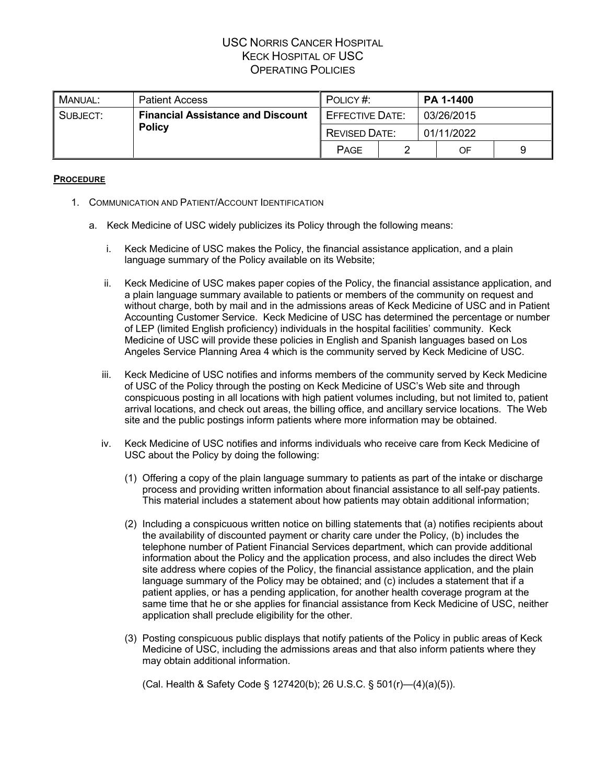| . MANUAL:     | <b>Patient Access</b>                    | POLICY#:             |                        | <b>PA 1-1400</b> |  |  |
|---------------|------------------------------------------|----------------------|------------------------|------------------|--|--|
| SUBJECT:      | <b>Financial Assistance and Discount</b> |                      | <b>EFFECTIVE DATE:</b> | 03/26/2015       |  |  |
| <b>Policy</b> |                                          | <b>REVISED DATE:</b> |                        | 01/11/2022       |  |  |
|               |                                          | PAGE                 |                        | OF               |  |  |

#### **PROCEDURE**

- 1. COMMUNICATION AND PATIENT/ACCOUNT IDENTIFICATION
	- a. Keck Medicine of USC widely publicizes its Policy through the following means:
		- i. Keck Medicine of USC makes the Policy, the financial assistance application, and a plain language summary of the Policy available on its Website;
		- ii. Keck Medicine of USC makes paper copies of the Policy, the financial assistance application, and a plain language summary available to patients or members of the community on request and without charge, both by mail and in the admissions areas of Keck Medicine of USC and in Patient Accounting Customer Service. Keck Medicine of USC has determined the percentage or number of LEP (limited English proficiency) individuals in the hospital facilities' community. Keck Medicine of USC will provide these policies in English and Spanish languages based on Los Angeles Service Planning Area 4 which is the community served by Keck Medicine of USC.
		- iii. Keck Medicine of USC notifies and informs members of the community served by Keck Medicine of USC of the Policy through the posting on Keck Medicine of USC's Web site and through conspicuous posting in all locations with high patient volumes including, but not limited to, patient arrival locations, and check out areas, the billing office, and ancillary service locations. The Web site and the public postings inform patients where more information may be obtained.
		- iv. Keck Medicine of USC notifies and informs individuals who receive care from Keck Medicine of USC about the Policy by doing the following:
			- (1) Offering a copy of the plain language summary to patients as part of the intake or discharge process and providing written information about financial assistance to all self-pay patients. This material includes a statement about how patients may obtain additional information;
			- (2) Including a conspicuous written notice on billing statements that (a) notifies recipients about the availability of discounted payment or charity care under the Policy, (b) includes the telephone number of Patient Financial Services department, which can provide additional information about the Policy and the application process, and also includes the direct Web site address where copies of the Policy, the financial assistance application, and the plain language summary of the Policy may be obtained; and (c) includes a statement that if a patient applies, or has a pending application, for another health coverage program at the same time that he or she applies for financial assistance from Keck Medicine of USC, neither application shall preclude eligibility for the other.
			- (3) Posting conspicuous public displays that notify patients of the Policy in public areas of Keck Medicine of USC, including the admissions areas and that also inform patients where they may obtain additional information.

(Cal. Health & Safety Code § 127420(b); 26 U.S.C. § 501(r)—(4)(a)(5)).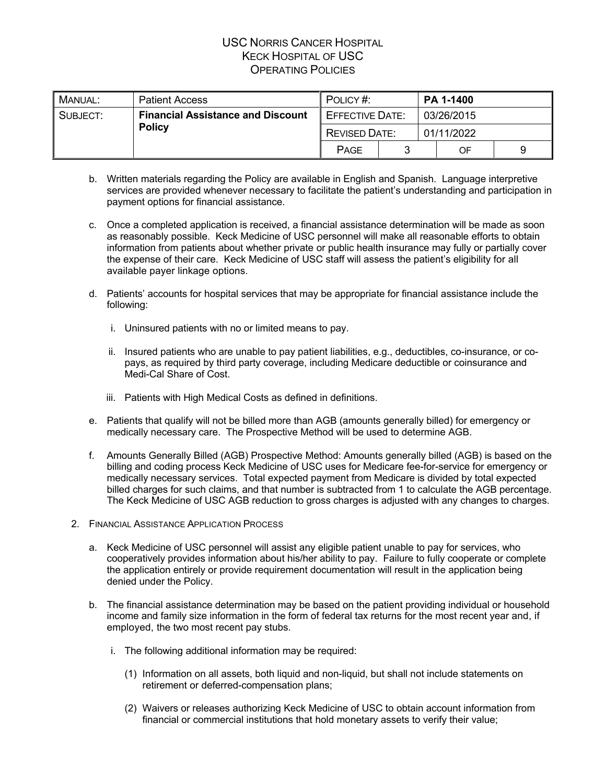| . MANUAL:     | <b>Patient Access</b>                    | POLICY#:             |                        |            | <b>PA 1-1400</b> |            |  |  |
|---------------|------------------------------------------|----------------------|------------------------|------------|------------------|------------|--|--|
| SUBJECT:      | <b>Financial Assistance and Discount</b> |                      | <b>EFFECTIVE DATE:</b> |            |                  | 03/26/2015 |  |  |
| <b>Policy</b> |                                          | <b>REVISED DATE:</b> |                        | 01/11/2022 |                  |            |  |  |
|               |                                          | <b>PAGE</b>          |                        |            | OF               | 9          |  |  |

- b. Written materials regarding the Policy are available in English and Spanish. Language interpretive services are provided whenever necessary to facilitate the patient's understanding and participation in payment options for financial assistance.
- c. Once a completed application is received, a financial assistance determination will be made as soon as reasonably possible. Keck Medicine of USC personnel will make all reasonable efforts to obtain information from patients about whether private or public health insurance may fully or partially cover the expense of their care. Keck Medicine of USC staff will assess the patient's eligibility for all available payer linkage options.
- d. Patients' accounts for hospital services that may be appropriate for financial assistance include the following:
	- i. Uninsured patients with no or limited means to pay.
	- ii. Insured patients who are unable to pay patient liabilities, e.g., deductibles, co-insurance, or copays, as required by third party coverage, including Medicare deductible or coinsurance and Medi-Cal Share of Cost.
	- iii. Patients with High Medical Costs as defined in definitions.
- e. Patients that qualify will not be billed more than AGB (amounts generally billed) for emergency or medically necessary care. The Prospective Method will be used to determine AGB.
- f. Amounts Generally Billed (AGB) Prospective Method: Amounts generally billed (AGB) is based on the billing and coding process Keck Medicine of USC uses for Medicare fee-for-service for emergency or medically necessary services. Total expected payment from Medicare is divided by total expected billed charges for such claims, and that number is subtracted from 1 to calculate the AGB percentage. The Keck Medicine of USC AGB reduction to gross charges is adjusted with any changes to charges.
- 2. FINANCIAL ASSISTANCE APPLICATION PROCESS
	- a. Keck Medicine of USC personnel will assist any eligible patient unable to pay for services, who cooperatively provides information about his/her ability to pay. Failure to fully cooperate or complete the application entirely or provide requirement documentation will result in the application being denied under the Policy.
	- b. The financial assistance determination may be based on the patient providing individual or household income and family size information in the form of federal tax returns for the most recent year and, if employed, the two most recent pay stubs.
		- i. The following additional information may be required:
			- (1) Information on all assets, both liquid and non-liquid, but shall not include statements on retirement or deferred-compensation plans;
			- (2) Waivers or releases authorizing Keck Medicine of USC to obtain account information from financial or commercial institutions that hold monetary assets to verify their value;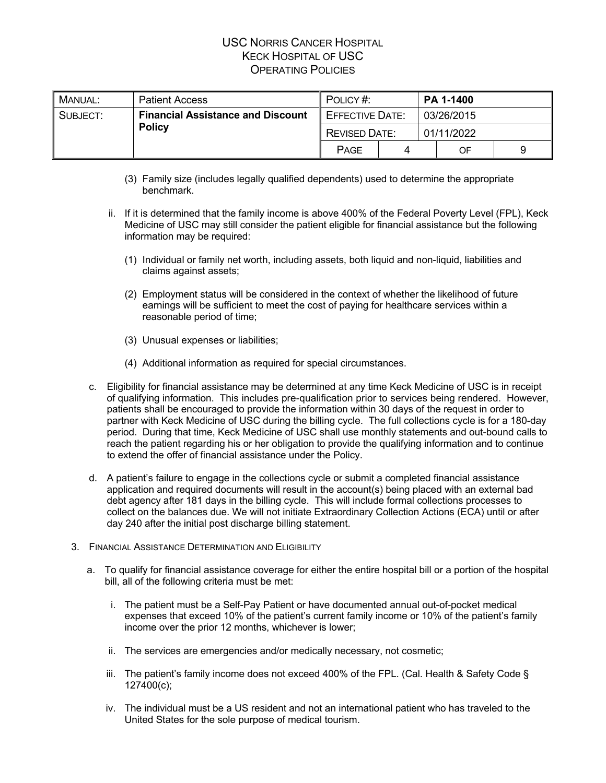| MANUAL:       | <b>Patient Access</b>                    | POLICY#:    |                        |  | <b>PA 1-1400</b> |  |  |
|---------------|------------------------------------------|-------------|------------------------|--|------------------|--|--|
| SUBJECT:      | <b>Financial Assistance and Discount</b> |             | <b>EFFECTIVE DATE:</b> |  | 03/26/2015       |  |  |
| <b>Policy</b> | <b>REVISED DATE:</b>                     |             | 01/11/2022             |  |                  |  |  |
|               |                                          | <b>PAGE</b> |                        |  | OF               |  |  |

- (3) Family size (includes legally qualified dependents) used to determine the appropriate benchmark.
- ii. If it is determined that the family income is above 400% of the Federal Poverty Level (FPL), Keck Medicine of USC may still consider the patient eligible for financial assistance but the following information may be required:
	- (1) Individual or family net worth, including assets, both liquid and non-liquid, liabilities and claims against assets;
	- (2) Employment status will be considered in the context of whether the likelihood of future earnings will be sufficient to meet the cost of paying for healthcare services within a reasonable period of time;
	- (3) Unusual expenses or liabilities;
	- (4) Additional information as required for special circumstances.
- c. Eligibility for financial assistance may be determined at any time Keck Medicine of USC is in receipt of qualifying information. This includes pre-qualification prior to services being rendered. However, patients shall be encouraged to provide the information within 30 days of the request in order to partner with Keck Medicine of USC during the billing cycle. The full collections cycle is for a 180-day period. During that time, Keck Medicine of USC shall use monthly statements and out-bound calls to reach the patient regarding his or her obligation to provide the qualifying information and to continue to extend the offer of financial assistance under the Policy.
- d. A patient's failure to engage in the collections cycle or submit a completed financial assistance application and required documents will result in the account(s) being placed with an external bad debt agency after 181 days in the billing cycle. This will include formal collections processes to collect on the balances due. We will not initiate Extraordinary Collection Actions (ECA) until or after day 240 after the initial post discharge billing statement.
- 3. FINANCIAL ASSISTANCE DETERMINATION AND ELIGIBILITY
	- a. To qualify for financial assistance coverage for either the entire hospital bill or a portion of the hospital bill, all of the following criteria must be met:
		- i. The patient must be a Self-Pay Patient or have documented annual out-of-pocket medical expenses that exceed 10% of the patient's current family income or 10% of the patient's family income over the prior 12 months, whichever is lower;
		- ii. The services are emergencies and/or medically necessary, not cosmetic;
		- iii. The patient's family income does not exceed 400% of the FPL. (Cal. Health & Safety Code § 127400(c);
		- iv. The individual must be a US resident and not an international patient who has traveled to the United States for the sole purpose of medical tourism.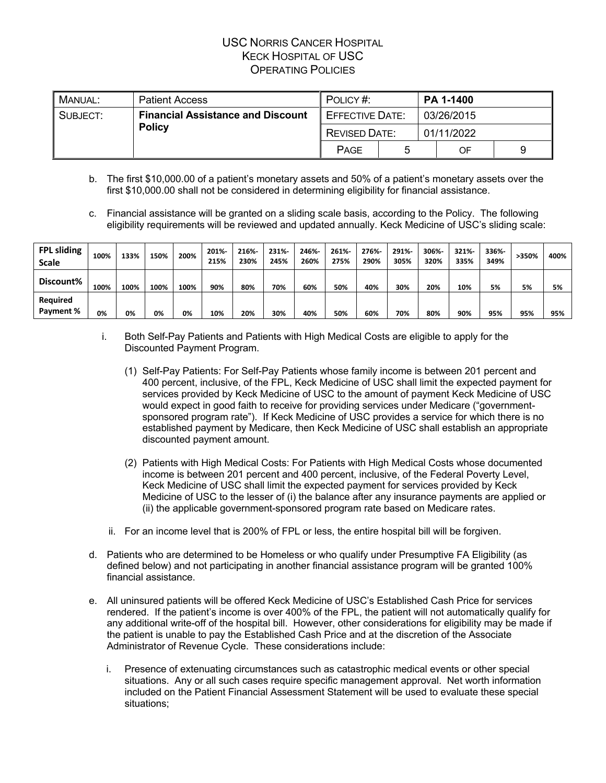| MANUAL:       | <b>Patient Access</b>                    | POLICY#:             |                        |            | PA 1-1400 |  |
|---------------|------------------------------------------|----------------------|------------------------|------------|-----------|--|
| SUBJECT:      | <b>Financial Assistance and Discount</b> |                      | <b>EFFECTIVE DATE:</b> | 03/26/2015 |           |  |
| <b>Policy</b> |                                          | <b>REVISED DATE:</b> |                        | 01/11/2022 |           |  |
|               |                                          | <b>PAGE</b>          |                        |            | OF        |  |

- b. The first \$10,000.00 of a patient's monetary assets and 50% of a patient's monetary assets over the first \$10,000.00 shall not be considered in determining eligibility for financial assistance.
- c. Financial assistance will be granted on a sliding scale basis, according to the Policy. The following eligibility requirements will be reviewed and updated annually. Keck Medicine of USC's sliding scale:

| <b>FPL sliding</b><br><b>Scale</b> | 100% | 133% | 150% | 200% | 201%-<br>215% | 216%<br>230% | 231%<br>245% | 246%-<br>260% | 261%-<br>275% | 276%-<br>290% | 291%-<br>305% | 306%-<br>320% | 321%<br>335% | 336%-<br>349% | >350% | 400% |
|------------------------------------|------|------|------|------|---------------|--------------|--------------|---------------|---------------|---------------|---------------|---------------|--------------|---------------|-------|------|
| Discount%                          | 100% | 100% | 100% | 100% | 90%           | 80%          | 70%          | 60%           | 50%           | 40%           | 30%           | 20%           | 10%          | 5%            | 5%    | 5%   |
| Required<br>Payment %              | 0%   | 0%   | 0%   | 0%   | 10%           | 20%          | 30%          | 40%           | 50%           | 60%           | 70%           | 80%           | 90%          | 95%           | 95%   | 95%  |

- i. Both Self-Pay Patients and Patients with High Medical Costs are eligible to apply for the Discounted Payment Program.
	- (1) Self-Pay Patients: For Self-Pay Patients whose family income is between 201 percent and 400 percent, inclusive, of the FPL, Keck Medicine of USC shall limit the expected payment for services provided by Keck Medicine of USC to the amount of payment Keck Medicine of USC would expect in good faith to receive for providing services under Medicare ("governmentsponsored program rate"). If Keck Medicine of USC provides a service for which there is no established payment by Medicare, then Keck Medicine of USC shall establish an appropriate discounted payment amount.
	- (2) Patients with High Medical Costs: For Patients with High Medical Costs whose documented income is between 201 percent and 400 percent, inclusive, of the Federal Poverty Level, Keck Medicine of USC shall limit the expected payment for services provided by Keck Medicine of USC to the lesser of (i) the balance after any insurance payments are applied or (ii) the applicable government-sponsored program rate based on Medicare rates.
	- ii. For an income level that is 200% of FPL or less, the entire hospital bill will be forgiven.
- d. Patients who are determined to be Homeless or who qualify under Presumptive FA Eligibility (as defined below) and not participating in another financial assistance program will be granted 100% financial assistance.
- e. All uninsured patients will be offered Keck Medicine of USC's Established Cash Price for services rendered. If the patient's income is over 400% of the FPL, the patient will not automatically qualify for any additional write-off of the hospital bill. However, other considerations for eligibility may be made if the patient is unable to pay the Established Cash Price and at the discretion of the Associate Administrator of Revenue Cycle. These considerations include:
	- i. Presence of extenuating circumstances such as catastrophic medical events or other special situations. Any or all such cases require specific management approval. Net worth information included on the Patient Financial Assessment Statement will be used to evaluate these special situations;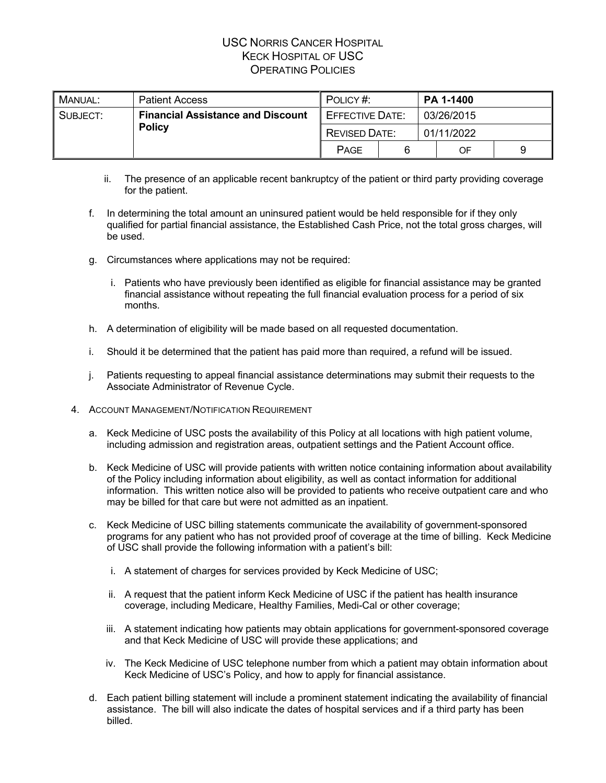| MANUAL:       | <b>Patient Access</b>                    | POLICY#:             |                        |            | <b>PA 1-1400</b> |            |  |  |
|---------------|------------------------------------------|----------------------|------------------------|------------|------------------|------------|--|--|
| SUBJECT:      | <b>Financial Assistance and Discount</b> |                      | <b>EFFECTIVE DATE:</b> |            |                  | 03/26/2015 |  |  |
| <b>Policy</b> |                                          | <b>REVISED DATE:</b> |                        | 01/11/2022 |                  |            |  |  |
|               |                                          | <b>PAGE</b>          |                        |            | OF               |            |  |  |

- ii. The presence of an applicable recent bankruptcy of the patient or third party providing coverage for the patient.
- f. In determining the total amount an uninsured patient would be held responsible for if they only qualified for partial financial assistance, the Established Cash Price, not the total gross charges, will be used.
- g. Circumstances where applications may not be required:
	- i. Patients who have previously been identified as eligible for financial assistance may be granted financial assistance without repeating the full financial evaluation process for a period of six months.
- h. A determination of eligibility will be made based on all requested documentation.
- i. Should it be determined that the patient has paid more than required, a refund will be issued.
- j. Patients requesting to appeal financial assistance determinations may submit their requests to the Associate Administrator of Revenue Cycle.
- 4. ACCOUNT MANAGEMENT/NOTIFICATION REQUIREMENT
	- a. Keck Medicine of USC posts the availability of this Policy at all locations with high patient volume, including admission and registration areas, outpatient settings and the Patient Account office.
	- b. Keck Medicine of USC will provide patients with written notice containing information about availability of the Policy including information about eligibility, as well as contact information for additional information. This written notice also will be provided to patients who receive outpatient care and who may be billed for that care but were not admitted as an inpatient.
	- c. Keck Medicine of USC billing statements communicate the availability of government-sponsored programs for any patient who has not provided proof of coverage at the time of billing. Keck Medicine of USC shall provide the following information with a patient's bill:
		- i. A statement of charges for services provided by Keck Medicine of USC;
		- ii. A request that the patient inform Keck Medicine of USC if the patient has health insurance coverage, including Medicare, Healthy Families, Medi-Cal or other coverage;
		- iii. A statement indicating how patients may obtain applications for government-sponsored coverage and that Keck Medicine of USC will provide these applications; and
		- iv. The Keck Medicine of USC telephone number from which a patient may obtain information about Keck Medicine of USC's Policy, and how to apply for financial assistance.
	- d. Each patient billing statement will include a prominent statement indicating the availability of financial assistance. The bill will also indicate the dates of hospital services and if a third party has been billed.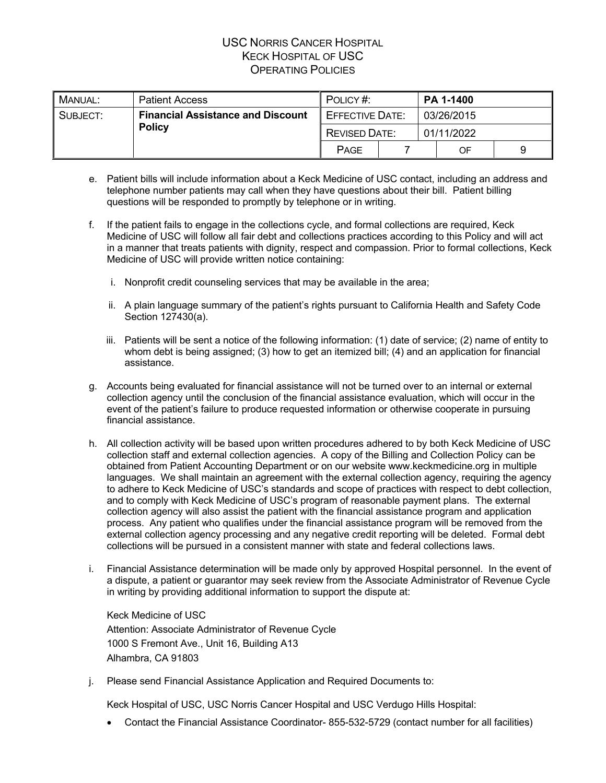| MANUAL:       | <b>Patient Access</b>                    | POLICY#:    |                        |  | <b>PA 1-1400</b> |            |  |  |
|---------------|------------------------------------------|-------------|------------------------|--|------------------|------------|--|--|
| SUBJECT:      | <b>Financial Assistance and Discount</b> |             | <b>EFFECTIVE DATE:</b> |  |                  | 03/26/2015 |  |  |
| <b>Policy</b> | <b>REVISED DATE:</b>                     |             | 01/11/2022             |  |                  |            |  |  |
|               |                                          | <b>PAGE</b> |                        |  | OF               | 9          |  |  |

- e. Patient bills will include information about a Keck Medicine of USC contact, including an address and telephone number patients may call when they have questions about their bill. Patient billing questions will be responded to promptly by telephone or in writing.
- f. If the patient fails to engage in the collections cycle, and formal collections are required, Keck Medicine of USC will follow all fair debt and collections practices according to this Policy and will act in a manner that treats patients with dignity, respect and compassion. Prior to formal collections, Keck Medicine of USC will provide written notice containing:
	- i. Nonprofit credit counseling services that may be available in the area;
	- ii. A plain language summary of the patient's rights pursuant to California Health and Safety Code Section 127430(a).
	- iii. Patients will be sent a notice of the following information: (1) date of service; (2) name of entity to whom debt is being assigned; (3) how to get an itemized bill; (4) and an application for financial assistance.
- g. Accounts being evaluated for financial assistance will not be turned over to an internal or external collection agency until the conclusion of the financial assistance evaluation, which will occur in the event of the patient's failure to produce requested information or otherwise cooperate in pursuing financial assistance.
- h. All collection activity will be based upon written procedures adhered to by both Keck Medicine of USC collection staff and external collection agencies. A copy of the Billing and Collection Policy can be obtained from Patient Accounting Department or on our website www.keckmedicine.org in multiple languages. We shall maintain an agreement with the external collection agency, requiring the agency to adhere to Keck Medicine of USC's standards and scope of practices with respect to debt collection, and to comply with Keck Medicine of USC's program of reasonable payment plans. The external collection agency will also assist the patient with the financial assistance program and application process. Any patient who qualifies under the financial assistance program will be removed from the external collection agency processing and any negative credit reporting will be deleted. Formal debt collections will be pursued in a consistent manner with state and federal collections laws.
- i. Financial Assistance determination will be made only by approved Hospital personnel. In the event of a dispute, a patient or guarantor may seek review from the Associate Administrator of Revenue Cycle in writing by providing additional information to support the dispute at:

Keck Medicine of USC Attention: Associate Administrator of Revenue Cycle 1000 S Fremont Ave., Unit 16, Building A13 Alhambra, CA 91803

j. Please send Financial Assistance Application and Required Documents to:

Keck Hospital of USC, USC Norris Cancer Hospital and USC Verdugo Hills Hospital:

• Contact the Financial Assistance Coordinator-855-532-5729 (contact number for all facilities)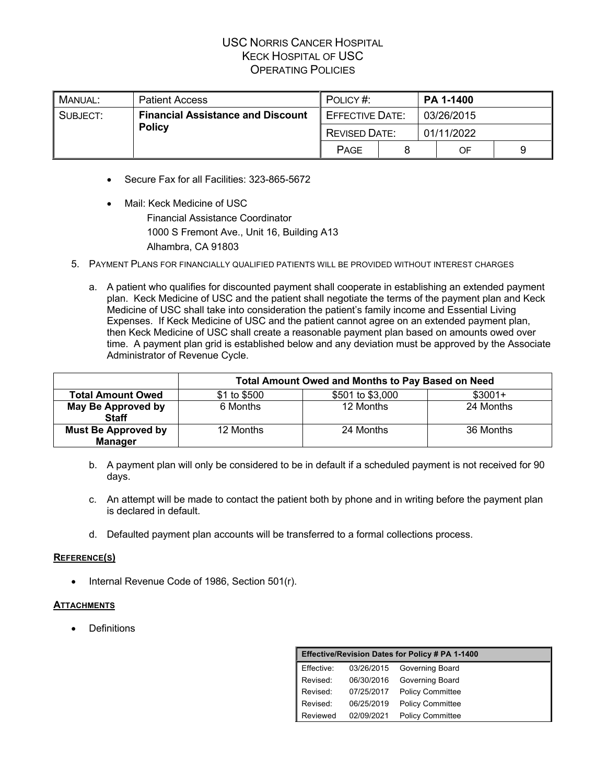| MANUAL:       | <b>Patient Access</b>                    | POLICY#:             |                        | <b>PA 1-1400</b> |  |  |
|---------------|------------------------------------------|----------------------|------------------------|------------------|--|--|
| SUBJECT:      | <b>Financial Assistance and Discount</b> |                      | <b>EFFECTIVE DATE:</b> | 03/26/2015       |  |  |
| <b>Policy</b> |                                          | <b>REVISED DATE:</b> |                        | 01/11/2022       |  |  |
|               |                                          | <b>PAGE</b>          |                        | OF               |  |  |

- Secure Fax for all Facilities: 323-865-5672
- Mail: Keck Medicine of USC Financial Assistance Coordinator 1000 S Fremont Ave., Unit 16, Building A13 Alhambra, CA 91803
- 5. PAYMENT PLANS FOR FINANCIALLY QUALIFIED PATIENTS WILL BE PROVIDED WITHOUT INTEREST CHARGES
	- a. A patient who qualifies for discounted payment shall cooperate in establishing an extended payment plan. Keck Medicine of USC and the patient shall negotiate the terms of the payment plan and Keck Medicine of USC shall take into consideration the patient's family income and Essential Living Expenses. If Keck Medicine of USC and the patient cannot agree on an extended payment plan, then Keck Medicine of USC shall create a reasonable payment plan based on amounts owed over time. A payment plan grid is established below and any deviation must be approved by the Associate Administrator of Revenue Cycle.

|                                              | <b>Total Amount Owed and Months to Pay Based on Need</b> |                  |           |  |  |  |  |
|----------------------------------------------|----------------------------------------------------------|------------------|-----------|--|--|--|--|
| <b>Total Amount Owed</b>                     | \$1 to \$500                                             | \$501 to \$3,000 | $$3001+$  |  |  |  |  |
| May Be Approved by<br><b>Staff</b>           | 6 Months                                                 | 12 Months        | 24 Months |  |  |  |  |
| <b>Must Be Approved by</b><br><b>Manager</b> | 12 Months                                                | 24 Months        | 36 Months |  |  |  |  |

- b. A payment plan will only be considered to be in default if a scheduled payment is not received for 90 days.
- c. An attempt will be made to contact the patient both by phone and in writing before the payment plan is declared in default.
- d. Defaulted payment plan accounts will be transferred to a formal collections process.

#### **REFERENCE(S)**

• Internal Revenue Code of 1986, Section 501(r).

#### **ATTACHMENTS**

**Definitions** 

|            | Effective/Revision Dates for Policy # PA 1-1400 |                         |  |  |  |  |
|------------|-------------------------------------------------|-------------------------|--|--|--|--|
| Effective: | 03/26/2015                                      | Governing Board         |  |  |  |  |
| Revised:   | 06/30/2016                                      | Governing Board         |  |  |  |  |
| Revised:   | 07/25/2017                                      | <b>Policy Committee</b> |  |  |  |  |
| Revised:   | 06/25/2019                                      | <b>Policy Committee</b> |  |  |  |  |
| Reviewed   | 02/09/2021                                      | <b>Policy Committee</b> |  |  |  |  |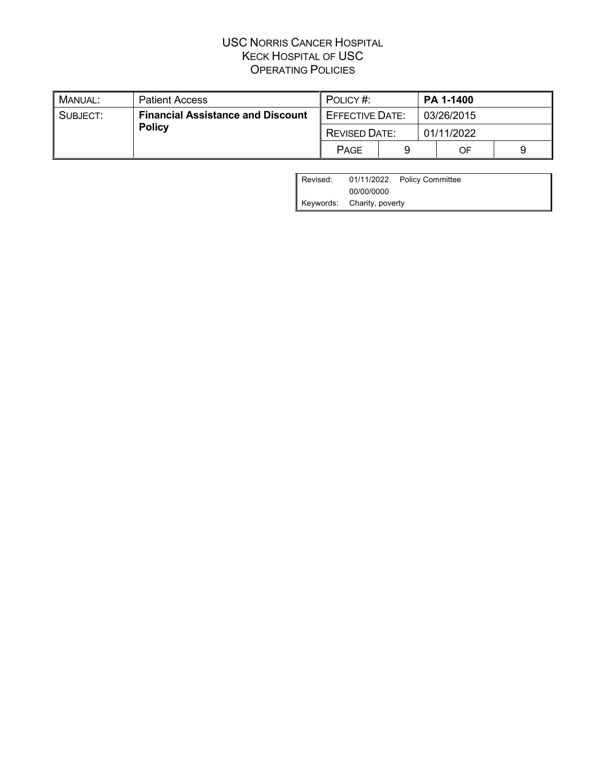| . Manual:     | <b>Patient Access</b>                    | POLICY#:             |                        |            | <b>PA 1-1400</b> |  |
|---------------|------------------------------------------|----------------------|------------------------|------------|------------------|--|
| SUBJECT:      | <b>Financial Assistance and Discount</b> |                      | <b>EFFECTIVE DATE:</b> | 03/26/2015 |                  |  |
| <b>Policy</b> |                                          | <b>REVISED DATE:</b> |                        | 01/11/2022 |                  |  |
|               |                                          | <b>PAGE</b>          |                        |            | OF               |  |

| Revised: |                                          | 01/11/2022 Policy Committee |
|----------|------------------------------------------|-----------------------------|
|          |                                          |                             |
|          | 00/00/0000<br>Keywords: Charity, poverty |                             |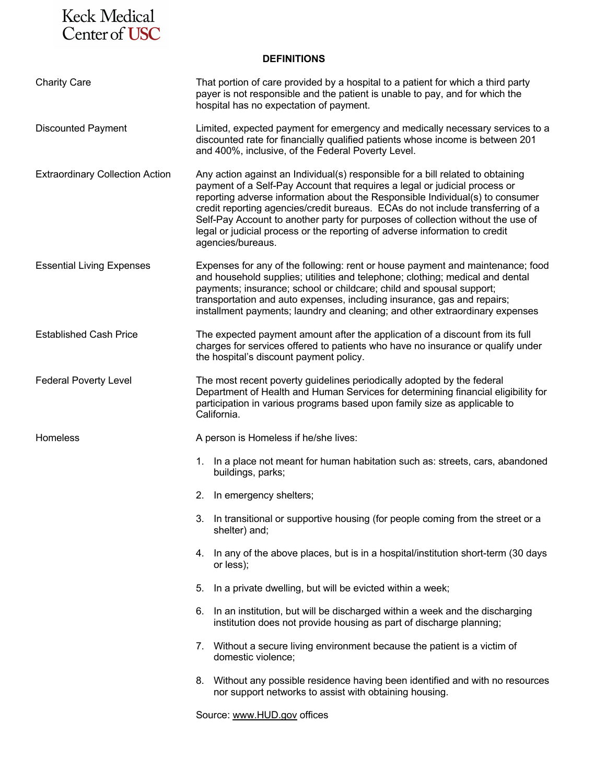# Keck Medical<br>Center of USC

#### **DEFINITIONS**

| <b>Charity Care</b>                    | That portion of care provided by a hospital to a patient for which a third party<br>payer is not responsible and the patient is unable to pay, and for which the<br>hospital has no expectation of payment.                                                                                                                                                                                                                                                                                                              |
|----------------------------------------|--------------------------------------------------------------------------------------------------------------------------------------------------------------------------------------------------------------------------------------------------------------------------------------------------------------------------------------------------------------------------------------------------------------------------------------------------------------------------------------------------------------------------|
| <b>Discounted Payment</b>              | Limited, expected payment for emergency and medically necessary services to a<br>discounted rate for financially qualified patients whose income is between 201<br>and 400%, inclusive, of the Federal Poverty Level.                                                                                                                                                                                                                                                                                                    |
| <b>Extraordinary Collection Action</b> | Any action against an Individual(s) responsible for a bill related to obtaining<br>payment of a Self-Pay Account that requires a legal or judicial process or<br>reporting adverse information about the Responsible Individual(s) to consumer<br>credit reporting agencies/credit bureaus. ECAs do not include transferring of a<br>Self-Pay Account to another party for purposes of collection without the use of<br>legal or judicial process or the reporting of adverse information to credit<br>agencies/bureaus. |
| <b>Essential Living Expenses</b>       | Expenses for any of the following: rent or house payment and maintenance; food<br>and household supplies; utilities and telephone; clothing; medical and dental<br>payments; insurance; school or childcare; child and spousal support;<br>transportation and auto expenses, including insurance, gas and repairs;<br>installment payments; laundry and cleaning; and other extraordinary expenses                                                                                                                       |
| <b>Established Cash Price</b>          | The expected payment amount after the application of a discount from its full<br>charges for services offered to patients who have no insurance or qualify under<br>the hospital's discount payment policy.                                                                                                                                                                                                                                                                                                              |
| <b>Federal Poverty Level</b>           | The most recent poverty guidelines periodically adopted by the federal<br>Department of Health and Human Services for determining financial eligibility for<br>participation in various programs based upon family size as applicable to<br>California.                                                                                                                                                                                                                                                                  |
| Homeless                               | A person is Homeless if he/she lives:                                                                                                                                                                                                                                                                                                                                                                                                                                                                                    |
|                                        | In a place not meant for human habitation such as: streets, cars, abandoned<br>1.<br>buildings, parks;                                                                                                                                                                                                                                                                                                                                                                                                                   |
|                                        | 2.<br>In emergency shelters;                                                                                                                                                                                                                                                                                                                                                                                                                                                                                             |
|                                        | 3. In transitional or supportive housing (for people coming from the street or a<br>shelter) and;                                                                                                                                                                                                                                                                                                                                                                                                                        |
|                                        | 4. In any of the above places, but is in a hospital/institution short-term (30 days<br>or less);                                                                                                                                                                                                                                                                                                                                                                                                                         |
|                                        | In a private dwelling, but will be evicted within a week;<br>5.                                                                                                                                                                                                                                                                                                                                                                                                                                                          |
|                                        | In an institution, but will be discharged within a week and the discharging<br>6.<br>institution does not provide housing as part of discharge planning;                                                                                                                                                                                                                                                                                                                                                                 |
|                                        | 7. Without a secure living environment because the patient is a victim of<br>domestic violence;                                                                                                                                                                                                                                                                                                                                                                                                                          |
|                                        | 8. Without any possible residence having been identified and with no resources<br>nor support networks to assist with obtaining housing.                                                                                                                                                                                                                                                                                                                                                                                 |
|                                        | Source: www.HUD.gov offices                                                                                                                                                                                                                                                                                                                                                                                                                                                                                              |